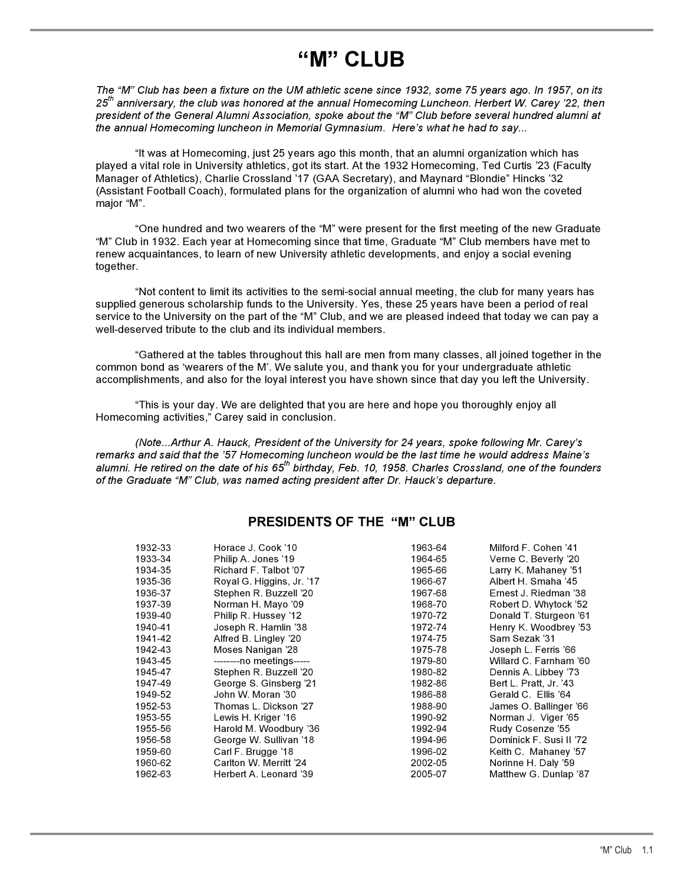# **"M" CLUB**

*The "M" Club has been a fixture on the UM athletic scene since 1932, some 75 years ago. In 1957, on its 25th anniversary, the club was honored at the annual Homecoming Luncheon. Herbert W. Carey '22, then president of the General Alumni Association, spoke about the "M" Club before several hundred alumni at the annual Homecoming luncheon in Memorial Gymnasium. Here's what he had to say...*

"It was at Homecoming, just 25 years ago this month, that an alumni organization which has played a vital role in University athletics, got its start. At the 1932 Homecoming, Ted Curtis '23 (Faculty Manager of Athletics), Charlie Crossland '17 (GAA Secretary), and Maynard "Blondie" Hincks '32 (Assistant Football Coach), formulated plans for the organization of alumni who had won the coveted major "M".

"One hundred and two wearers of the "M" were present for the first meeting of the new Graduate "M" Club in 1932. Each year at Homecoming since that time, Graduate "M" Club members have met to renew acquaintances, to learn of new University athletic developments, and enjoy a social evening together.

"Not content to limit its activities to the semi-social annual meeting, the club for many years has supplied generous scholarship funds to the University. Yes, these 25 years have been a period of real service to the University on the part of the "M" Club, and we are pleased indeed that today we can pay a well-deserved tribute to the club and its individual members.

"Gathered at the tables throughout this hall are men from many classes, all joined together in the common bond as 'wearers of the M'. We salute you, and thank you for your undergraduate athletic accomplishments, and also for the loyal interest you have shown since that day you left the University.

"This is your day. We are delighted that you are here and hope you thoroughly enjoy all Homecoming activities," Carey said in conclusion.

*(Note...Arthur A. Hauck, President of the University for 24 years, spoke following Mr. Carey's remarks and said that the '57 Homecoming luncheon would be the last time he would address Maine's alumni. He retired on the date of his 65th birthday, Feb. 10, 1958. Charles Crossland, one of the founders of the Graduate "M" Club, was named acting president after Dr. Hauck's departure.*

## **PRESIDENTS OF THE "M" CLUB**

| 1932-33 | Horace J. Cook '10        | 1963-64 | Milford F. Cohen '41    |
|---------|---------------------------|---------|-------------------------|
| 1933-34 | Philip A. Jones '19       | 1964-65 | Verne C. Beverly '20    |
| 1934-35 | Richard F. Talbot '07     | 1965-66 | Larry K. Mahaney '51    |
| 1935-36 | Royal G. Higgins, Jr. '17 | 1966-67 | Albert H. Smaha '45     |
| 1936-37 | Stephen R. Buzzell '20    | 1967-68 | Ernest J. Riedman '38   |
| 1937-39 | Norman H. Mayo '09        | 1968-70 | Robert D. Whytock '52   |
| 1939-40 | Philip R. Hussey '12      | 1970-72 | Donald T. Sturgeon '61  |
| 1940-41 | Joseph R. Hamlin '38      | 1972-74 | Henry K. Woodbrey '53   |
| 1941-42 | Alfred B. Lingley '20     | 1974-75 | Sam Sezak '31           |
| 1942-43 | Moses Nanigan '28         | 1975-78 | Joseph L. Ferris '66    |
| 1943-45 | --------no meetings-----  | 1979-80 | Willard C. Farnham '60  |
| 1945-47 | Stephen R. Buzzell '20    | 1980-82 | Dennis A. Libbey '73    |
| 1947-49 | George S. Ginsberg '21    | 1982-86 | Bert L. Pratt, Jr. '43  |
| 1949-52 | John W. Moran '30         | 1986-88 | Gerald C. Ellis '64     |
| 1952-53 | Thomas L. Dickson '27     | 1988-90 | James O. Ballinger '66  |
| 1953-55 | Lewis H. Kriger '16       | 1990-92 | Norman J. Viger '65     |
| 1955-56 | Harold M. Woodbury '36    | 1992-94 | Rudy Cosenze '55        |
| 1956-58 | George W. Sullivan '18    | 1994-96 | Dominick F. Susi II '72 |
| 1959-60 | Carl F. Brugge '18        | 1996-02 | Keith C. Mahaney '57    |
| 1960-62 | Carlton W. Merritt '24    | 2002-05 | Norinne H. Daly '59     |
| 1962-63 | Herbert A. Leonard '39    | 2005-07 | Matthew G. Dunlap '87   |
|         |                           |         |                         |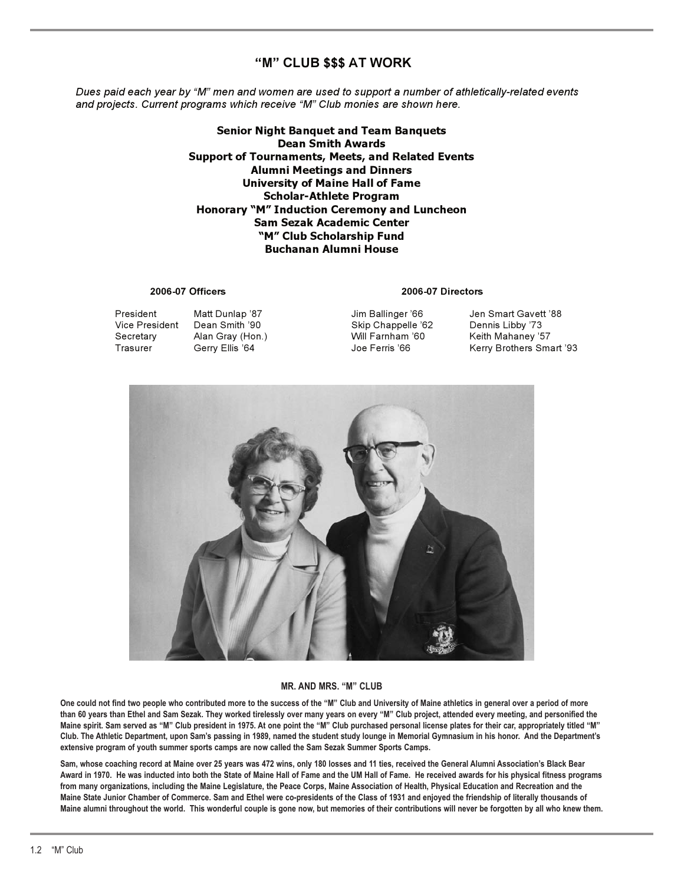# **"M" CLUB \$\$\$ AT WORK**

*Dues paid each year by "M" men and women are used to support a number of athletically-related events and projects. Current programs which receive "M" Club monies are shown here.*

> **Senior Night Banquet and Team Banquets Dean Smith Awards Support of Tournaments, Meets, and Related Events Alumni Meetings and Dinners University of Maine Hall of Fame Scholar-Athlete Program Honorary "M" Induction Ceremony and Luncheon Sam Sezak Academic Center "M" Club Scholarship Fund Buchanan Alumni House**

### **2006-07 Officers 2006-07 Directors**

Vice President Dean Smith '90 Skip Chappelle '62<br>
Secretary Alan Gray (Hon.) Will Farnham '60

President Matt Dunlap '87 Jim Ballinger '66 Jen Smart Gavett '88 Keith Mahaney '57 Trasurer Gerry Ellis '64 Joe Ferris '66 Kerry Brothers Smart '93



### **MR. AND MRS. "M" CLUB**

**One could not find two people who contributed more to the success of the "M" Club and University of Maine athletics in general over a period of more than 60 years than Ethel and Sam Sezak. They worked tirelessly over many years on every "M" Club project, attended every meeting, and personified the Maine spirit. Sam served as "M" Club president in 1975. At one point the "M" Club purchased personal license plates for their car, appropriately titled "M" Club. The Athletic Department, upon Sam's passing in 1989, named the student study lounge in Memorial Gymnasium in his honor. And the Department's extensive program of youth summer sports camps are now called the Sam Sezak Summer Sports Camps.** 

**Sam, whose coaching record at Maine over 25 years was 472 wins, only 180 losses and 11 ties, received the General Alumni Association's Black Bear Award in 1970. He was inducted into both the State of Maine Hall of Fame and the UM Hall of Fame. He received awards for his physical fitness programs from many organizations, including the Maine Legislature, the Peace Corps, Maine Association of Health, Physical Education and Recreation and the Maine State Junior Chamber of Commerce. Sam and Ethel were co-presidents of the Class of 1931 and enjoyed the friendship of literally thousands of Maine alumni throughout the world. This wonderful couple is gone now, but memories of their contributions will never be forgotten by all who knew them.**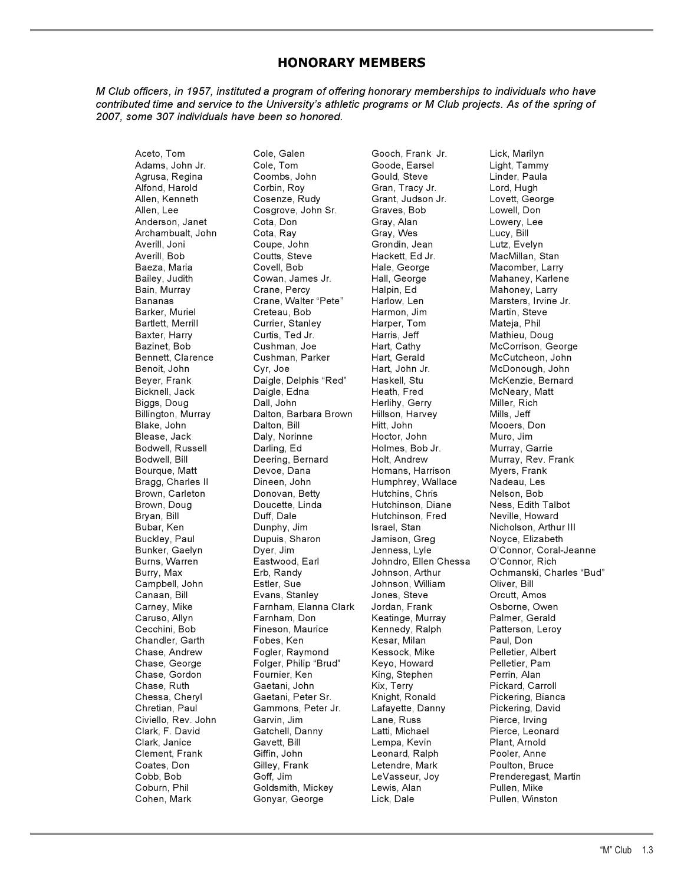# **HONORARY MEMBERS**

*M Club officers, in 1957, instituted a program of offering honorary memberships to individuals who have contributed time and service to the University's athletic programs or M Club projects. As of the spring of 2007, some 307 individuals have been so honored.*

Agrusa, Regina Archambualt, John Barker, Muriel Chandler, Garth

Aceto, Tom Cole, Galen Gooch, Frank Jr. Lick, Marilyn Adams, John Jr. Cole, Tom Goode, Earsel Light, Tammy Alfond, Harold Corbin, Roy Gran, Tracy Jr. Lord, Hugh Allen, Kenneth Cosenze, Rudy Grant, Judson Jr. Lovett, George Allen, Lee Cosgrove, John Sr. Graves, Bob Lowell, Don Anderson, Janet Cota, Don Gray, Alan Lowery, Lee Averill, Joni Coupe, John Grondin, Jean Lutz, Evelyn Averill, Bob Coutts, Steve Hackett, Ed Jr. MacMillan, Stan Baeza, Maria Covell, Bob Hale, George Macomber, Larry Bailey, Judith Cowan, James Jr. Hall, George Mahaney, Karlene Bananas Crane, Walter "Pete" Harlow, Len Marsters, Irvine Jr.<br>Barker, Muriel Creteau, Bob Harmon, Jim Martin, Steve Bartlett, Merrill **Currier, Stanley** Harper, Tom Mateja, Phil Baxter, Harry Curtis, Ted Jr. Harris, Jeff Mathieu, Doug Bazinet, Bob Cushman, Joe Hart, Cathy McCorrison, George Benoit, John Cyr, Joe Hart, John Jr. McDonough, John Daigle, Delphis "Red" Bicknell, Jack Daigle, Edna Heath, Fred McNeary, Matt Biggs, Doug **Dall, John Herlihy, Gerry Miller, Rich** Herlihy, Gerry Miller, Rich Billington, Murray Dalton, Barbara Brown Hillson, Harvey Mills, Jeff Blease, Jack Daly, Norinne Hoctor, John Muro, Jim Bodwell, Russell Darling, Ed Holmes, Bob Jr. Murray, Garrie Bourque, Matt Devoe, Dana Homans, Harrison Myers, Frank Bragg, Charles II Dineen, John Humphrey, Wallace Nadeau, Les Brown, Carleton Donovan, Betty Hutchins, Chris Nelson, Bob Brown, Doug Doucette, Linda Hutchinson, Diane Ness, Edith Talbot Bubar, Ken Dunphy, Jim Israel, Stan Nicholson, Arthur III Buckley, Paul **Dupuis, Sharon Mullet Buckley, Paul And Dupuis, Sharon Mullet Jamison, Greg Noyce, Elizabeth** Burns, Warren Eastwood, Earl Johndro, Ellen Chessa O'Connor, Rich Campbell, John Estler, Sue Johnson, William Oliver, Bill Evans, Stanley Carney, Mike Farnham, Elanna Clark Jordan, Frank Osborne, Owen Caruso, Allyn Farnham, Don Keatinge, Murray Palmer, Gerald Cecchini, Bob Fineson, Maurice Kennedy, Ralph Patterson, Leroy Chase, Andrew Fogler, Raymond Kessock, Mike Pelletier, Albert Folger, Philip "Brud" Chase, Gordon Fournier, Ken King, Stephen Perrin, Alan Chase, Ruth Gaetani, John Kix, Terry Pickard, Carroll Chessa, Cheryl Gaetani, Peter Sr. Knight, Ronald Pickering, Bianca<br>Chretian, Paul Gammons, Peter Jr. Lafayette, Danny Pickering, David Civiello, Rev. John Garvin, Jim Lane, Russ Pierce, Irving Clark, F. David Gatchell, Danny Latti, Michael Pierce, Leonard Clement, Frank Giffin, John Leonard, Ralph Pooler, Anne Coates, Don Gilley, Frank Letendre, Mark Poulton, Bruce Cobb, Bob Goff, Jim LeVasseur, Joy Prenderegast, Martin Goldsmith, Mickey Lewis, Alan Pullen, Mike Cohen, Mark Gonyar, George Lick, Dale Pullen, Winston

Hutchinson, Fred Lempa, Kevin

Mahoney, Larry McCutcheon, John Mooers, Don Murray, Rev. Frank Bunker, Gaelyn Dyer, Jim Jenness, Lyle O'Connor, Coral-Jeanne Ochmanski, Charles "Bud" Pickering, David